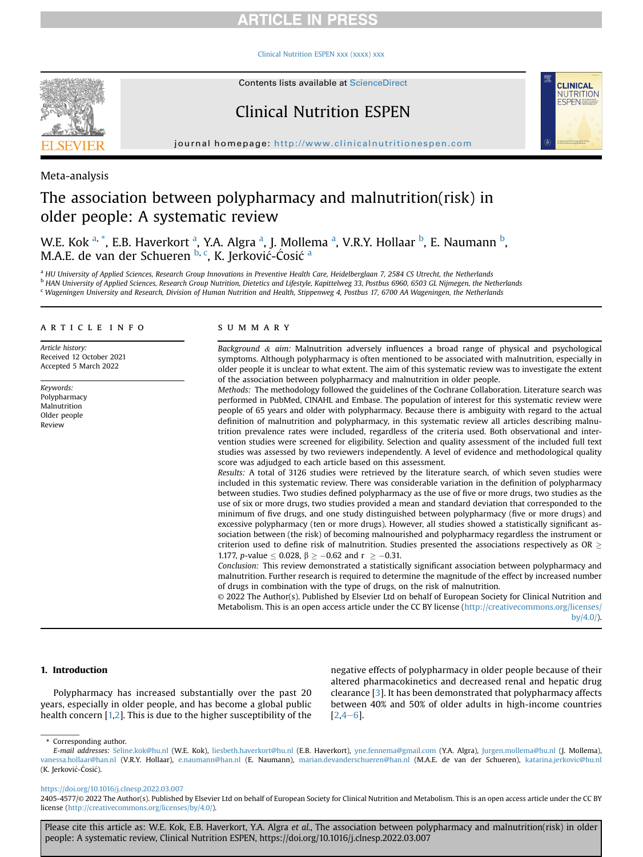#### [Clinical Nutrition ESPEN xxx \(xxxx\) xxx](https://doi.org/10.1016/j.clnesp.2022.03.007)



Contents lists available at ScienceDirect

# Clinical Nutrition ESPEN



journal homepage: <http://www.clinicalnutritionespen.com>

Meta-analysis

# The association between polypharmacy and malnutrition(risk) in older people: A systematic review

W.E. Kok <sup>[a,](#page-0-0) [\\*](#page-0-1)</sup>, E.B. H[a](#page-0-0)verkort <sup>a</sup>, Y.A. Algra <sup>a</sup>, J. Mollema <sup>a</sup>, V.R.Y. Hollaar <sup>[b](#page-0-2)</sup>, E. Naumann <sup>b</sup>, M.A.E. de van der Schueren <sup>[b](#page-0-2), [c](#page-0-3)</sup>, K. Jerković-Ćosić <sup>[a](#page-0-0)</sup>

<span id="page-0-3"></span><span id="page-0-2"></span><span id="page-0-0"></span><sup>a</sup> HU University of Applied Sciences, Research Group Innovations in Preventive Health Care, Heidelberglaan 7, 2584 CS Utrecht, the Netherlands <sup>b</sup> HAN University of Applied Sciences, Research Group Nutrition, Dietetics and Lifestyle, Kapittelweg 33, Postbus 6960, 6503 GL Nijmegen, the Netherlands <sup>c</sup> Wageningen University and Research, Division of Human Nutrition and Health, Stippenweg 4, Postbus 17, 6700 AA Wageningen, the Netherlands

### article info

Article history: Received 12 October 2021 Accepted 5 March 2022

Keywords: Polypharmacy Malnutrition Older people Review

### summary

Background  $\&$  aim: Malnutrition adversely influences a broad range of physical and psychological symptoms. Although polypharmacy is often mentioned to be associated with malnutrition, especially in older people it is unclear to what extent. The aim of this systematic review was to investigate the extent of the association between polypharmacy and malnutrition in older people.

Methods: The methodology followed the guidelines of the Cochrane Collaboration. Literature search was performed in PubMed, CINAHL and Embase. The population of interest for this systematic review were people of 65 years and older with polypharmacy. Because there is ambiguity with regard to the actual definition of malnutrition and polypharmacy, in this systematic review all articles describing malnutrition prevalence rates were included, regardless of the criteria used. Both observational and intervention studies were screened for eligibility. Selection and quality assessment of the included full text studies was assessed by two reviewers independently. A level of evidence and methodological quality score was adjudged to each article based on this assessment.

Results: A total of 3126 studies were retrieved by the literature search, of which seven studies were included in this systematic review. There was considerable variation in the definition of polypharmacy between studies. Two studies defined polypharmacy as the use of five or more drugs, two studies as the use of six or more drugs, two studies provided a mean and standard deviation that corresponded to the minimum of five drugs, and one study distinguished between polypharmacy (five or more drugs) and excessive polypharmacy (ten or more drugs). However, all studies showed a statistically significant association between (the risk) of becoming malnourished and polypharmacy regardless the instrument or criterion used to define risk of malnutrition. Studies presented the associations respectively as OR  $\geq$ 1.177, *p*-value  $\leq 0.028$ ,  $\beta \geq -0.62$  and  $r \geq -0.31$ .

Conclusion: This review demonstrated a statistically significant association between polypharmacy and malnutrition. Further research is required to determine the magnitude of the effect by increased number of drugs in combination with the type of drugs, on the risk of malnutrition.

© 2022 The Author(s). Published by Elsevier Ltd on behalf of European Society for Clinical Nutrition and Metabolism. This is an open access article under the CC BY license [\(http://creativecommons.org/licenses/](http://creativecommons.org/licenses/by/4.0/)  $bV/4.0/$ ).

#### 1. Introduction

Polypharmacy has increased substantially over the past 20 years, especially in older people, and has become a global public health concern [\[1,](#page-6-0)[2](#page-6-1)]. This is due to the higher susceptibility of the negative effects of polypharmacy in older people because of their altered pharmacokinetics and decreased renal and hepatic drug clearance [[3\]](#page-6-2). It has been demonstrated that polypharmacy affects between 40% and 50% of older adults in high-income countries  $[2, 4-6]$  $[2, 4-6]$  $[2, 4-6]$  $[2, 4-6]$  $[2, 4-6]$ .

<span id="page-0-1"></span>\* Corresponding author.

<https://doi.org/10.1016/j.clnesp.2022.03.007>

Please cite this article as: W.E. Kok, E.B. Haverkort, Y.A. Algra et al., The association between polypharmacy and malnutrition(risk) in older people: A systematic review, Clinical Nutrition ESPEN, https://doi.org/10.1016/j.clnesp.2022.03.007

E-mail addresses: [Seline.kok@hu.nl](mailto:Seline.kok@hu.nl) (W.E. Kok), [liesbeth.haverkort@hu.nl](mailto:liesbeth.haverkort@hu.nl) (E.B. Haverkort), [yne.fennema@gmail.com](mailto:yne.fennema@gmail.com) (Y.A. Algra), [Jurgen.mollema@hu.nl](mailto:Jurgen.mollema@hu.nl) (J. Mollema), [vanessa.hollaar@han.nl](mailto:vanessa.hollaar@han.nl) (V.R.Y. Hollaar), [e.naumann@han.nl](mailto:e.naumann@han.nl) (E. Naumann), [marian.devanderschueren@han.nl](mailto:marian.devanderschueren@han.nl) (M.A.E. de van der Schueren), [katarina.jerkovic@hu.nl](mailto:katarina.jerkovic@hu.nl) (K. Jerkovic- Cosic).

<sup>2405-4577/</sup>© 2022 The Author(s). Published by Elsevier Ltd on behalf of European Society for Clinical Nutrition and Metabolism. This is an open access article under the CC BY license [\(http://creativecommons.org/licenses/by/4.0/\)](http://creativecommons.org/licenses/by/4.0/).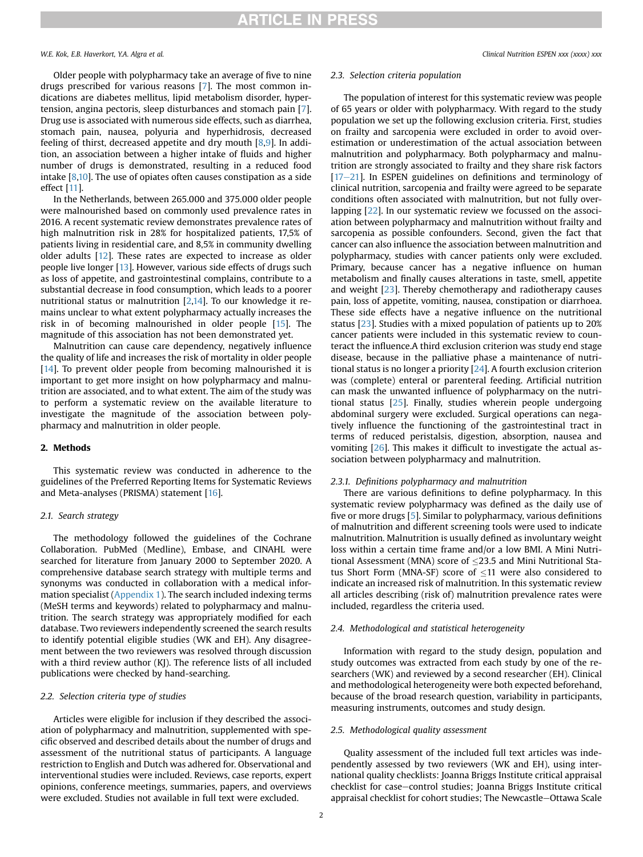Older people with polypharmacy take an average of five to nine drugs prescribed for various reasons [\[7\]](#page-6-4). The most common indications are diabetes mellitus, lipid metabolism disorder, hypertension, angina pectoris, sleep disturbances and stomach pain [\[7\]](#page-6-4). Drug use is associated with numerous side effects, such as diarrhea, stomach pain, nausea, polyuria and hyperhidrosis, decreased feeling of thirst, decreased appetite and dry mouth [\[8](#page-7-0)[,9\]](#page-7-1). In addition, an association between a higher intake of fluids and higher number of drugs is demonstrated, resulting in a reduced food intake [\[8](#page-7-0),[10](#page-7-2)]. The use of opiates often causes constipation as a side effect [[11\]](#page-7-3).

In the Netherlands, between 265.000 and 375.000 older people were malnourished based on commonly used prevalence rates in 2016. A recent systematic review demonstrates prevalence rates of high malnutrition risk in 28% for hospitalized patients, 17,5% of patients living in residential care, and 8,5% in community dwelling older adults [\[12](#page-7-4)]. These rates are expected to increase as older people live longer [\[13](#page-7-5)]. However, various side effects of drugs such as loss of appetite, and gastrointestinal complains, contribute to a substantial decrease in food consumption, which leads to a poorer nutritional status or malnutrition [[2](#page-6-1)[,14\]](#page-7-6). To our knowledge it remains unclear to what extent polypharmacy actually increases the risk in of becoming malnourished in older people [\[15](#page-7-7)]. The magnitude of this association has not been demonstrated yet.

Malnutrition can cause care dependency, negatively influence the quality of life and increases the risk of mortality in older people [[14](#page-7-6)]. To prevent older people from becoming malnourished it is important to get more insight on how polypharmacy and malnutrition are associated, and to what extent. The aim of the study was to perform a systematic review on the available literature to investigate the magnitude of the association between polypharmacy and malnutrition in older people.

#### 2. Methods

This systematic review was conducted in adherence to the guidelines of the Preferred Reporting Items for Systematic Reviews and Meta-analyses (PRISMA) statement [[16\]](#page-7-8).

#### 2.1. Search strategy

The methodology followed the guidelines of the Cochrane Collaboration. PubMed (Medline), Embase, and CINAHL were searched for literature from January 2000 to September 2020. A comprehensive database search strategy with multiple terms and synonyms was conducted in collaboration with a medical information specialist (Appendix 1). The search included indexing terms (MeSH terms and keywords) related to polypharmacy and malnutrition. The search strategy was appropriately modified for each database. Two reviewers independently screened the search results to identify potential eligible studies (WK and EH). Any disagreement between the two reviewers was resolved through discussion with a third review author (KJ). The reference lists of all included publications were checked by hand-searching.

#### 2.2. Selection criteria type of studies

Articles were eligible for inclusion if they described the association of polypharmacy and malnutrition, supplemented with specific observed and described details about the number of drugs and assessment of the nutritional status of participants. A language restriction to English and Dutch was adhered for. Observational and interventional studies were included. Reviews, case reports, expert opinions, conference meetings, summaries, papers, and overviews were excluded. Studies not available in full text were excluded.

#### 2.3. Selection criteria population

The population of interest for this systematic review was people of 65 years or older with polypharmacy. With regard to the study population we set up the following exclusion criteria. First, studies on frailty and sarcopenia were excluded in order to avoid overestimation or underestimation of the actual association between malnutrition and polypharmacy. Both polypharmacy and malnutrition are strongly associated to frailty and they share risk factors  $[17-21]$  $[17-21]$  $[17-21]$  $[17-21]$  $[17-21]$ . In ESPEN guidelines on definitions and terminology of clinical nutrition, sarcopenia and frailty were agreed to be separate conditions often associated with malnutrition, but not fully overlapping [[22](#page-7-10)]. In our systematic review we focussed on the association between polypharmacy and malnutrition without frailty and sarcopenia as possible confounders. Second, given the fact that cancer can also influence the association between malnutrition and polypharmacy, studies with cancer patients only were excluded. Primary, because cancer has a negative influence on human metabolism and finally causes alterations in taste, smell, appetite and weight [\[23\]](#page-7-11). Thereby chemotherapy and radiotherapy causes pain, loss of appetite, vomiting, nausea, constipation or diarrhoea. These side effects have a negative influence on the nutritional status [\[23\]](#page-7-11). Studies with a mixed population of patients up to 20% cancer patients were included in this systematic review to counteract the influence.A third exclusion criterion was study end stage disease, because in the palliative phase a maintenance of nutritional status is no longer a priority [\[24\]](#page-7-12). A fourth exclusion criterion was (complete) enteral or parenteral feeding. Artificial nutrition can mask the unwanted influence of polypharmacy on the nutritional status [\[25](#page-7-13)]. Finally, studies wherein people undergoing abdominal surgery were excluded. Surgical operations can negatively influence the functioning of the gastrointestinal tract in terms of reduced peristalsis, digestion, absorption, nausea and vomiting [[26](#page-7-14)]. This makes it difficult to investigate the actual association between polypharmacy and malnutrition.

#### 2.3.1. Definitions polypharmacy and malnutrition

There are various definitions to define polypharmacy. In this systematic review polypharmacy was defined as the daily use of five or more drugs [\[5](#page-6-5)]. Similar to polypharmacy, various definitions of malnutrition and different screening tools were used to indicate malnutrition. Malnutrition is usually defined as involuntary weight loss within a certain time frame and/or a low BMI. A Mini Nutritional Assessment (MNA) score of 23.5 and Mini Nutritional Status Short Form (MNA-SF) score of  $\leq$ 11 were also considered to indicate an increased risk of malnutrition. In this systematic review all articles describing (risk of) malnutrition prevalence rates were included, regardless the criteria used.

#### 2.4. Methodological and statistical heterogeneity

Information with regard to the study design, population and study outcomes was extracted from each study by one of the researchers (WK) and reviewed by a second researcher (EH). Clinical and methodological heterogeneity were both expected beforehand, because of the broad research question, variability in participants, measuring instruments, outcomes and study design.

#### 2.5. Methodological quality assessment

Quality assessment of the included full text articles was independently assessed by two reviewers (WK and EH), using international quality checklists: Joanna Briggs Institute critical appraisal checklist for case-control studies; Joanna Briggs Institute critical appraisal checklist for cohort studies; The Newcastle-Ottawa Scale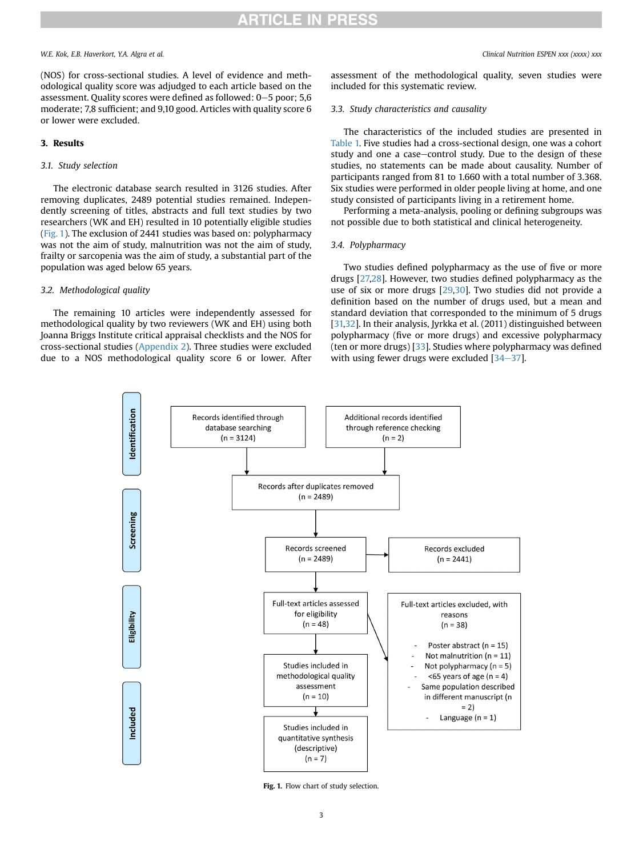### W.E. Kok, E.B. Haverkort, Y.A. Algra et al. Clinical Nutrition ESPEN xxx (xxxx) xxx

(NOS) for cross-sectional studies. A level of evidence and methodological quality score was adjudged to each article based on the assessment. Quality scores were defined as followed:  $0-5$  poor; 5,6 moderate; 7,8 sufficient; and 9,10 good. Articles with quality score 6 or lower were excluded.

#### 3. Results

#### 3.1. Study selection

The electronic database search resulted in 3126 studies. After removing duplicates, 2489 potential studies remained. Independently screening of titles, abstracts and full text studies by two researchers (WK and EH) resulted in 10 potentially eligible studies ([Fig. 1\)](#page-2-0). The exclusion of 2441 studies was based on: polypharmacy was not the aim of study, malnutrition was not the aim of study, frailty or sarcopenia was the aim of study, a substantial part of the population was aged below 65 years.

### 3.2. Methodological quality

<span id="page-2-0"></span>The remaining 10 articles were independently assessed for methodological quality by two reviewers (WK and EH) using both Joanna Briggs Institute critical appraisal checklists and the NOS for cross-sectional studies ([Appendix 2](#page-6-6)). Three studies were excluded due to a NOS methodological quality score 6 or lower. After assessment of the methodological quality, seven studies were included for this systematic review.

### 3.3. Study characteristics and causality

The characteristics of the included studies are presented in [Table 1.](#page-3-0) Five studies had a cross-sectional design, one was a cohort study and one a case-control study. Due to the design of these studies, no statements can be made about causality. Number of participants ranged from 81 to 1.660 with a total number of 3.368. Six studies were performed in older people living at home, and one study consisted of participants living in a retirement home.

Performing a meta-analysis, pooling or defining subgroups was not possible due to both statistical and clinical heterogeneity.

#### 3.4. Polypharmacy

Two studies defined polypharmacy as the use of five or more drugs [[27,](#page-7-15)[28\]](#page-7-16). However, two studies defined polypharmacy as the use of six or more drugs [\[29,](#page-7-17)[30\]](#page-7-18). Two studies did not provide a definition based on the number of drugs used, but a mean and standard deviation that corresponded to the minimum of 5 drugs [[31,](#page-7-19)[32](#page-7-20)]. In their analysis, Jyrkka et al. (2011) distinguished between polypharmacy (five or more drugs) and excessive polypharmacy (ten or more drugs) [[33](#page-7-21)]. Studies where polypharmacy was defined with using fewer drugs were excluded  $[34-37]$  $[34-37]$  $[34-37]$  $[34-37]$ .



Fig. 1. Flow chart of study selection.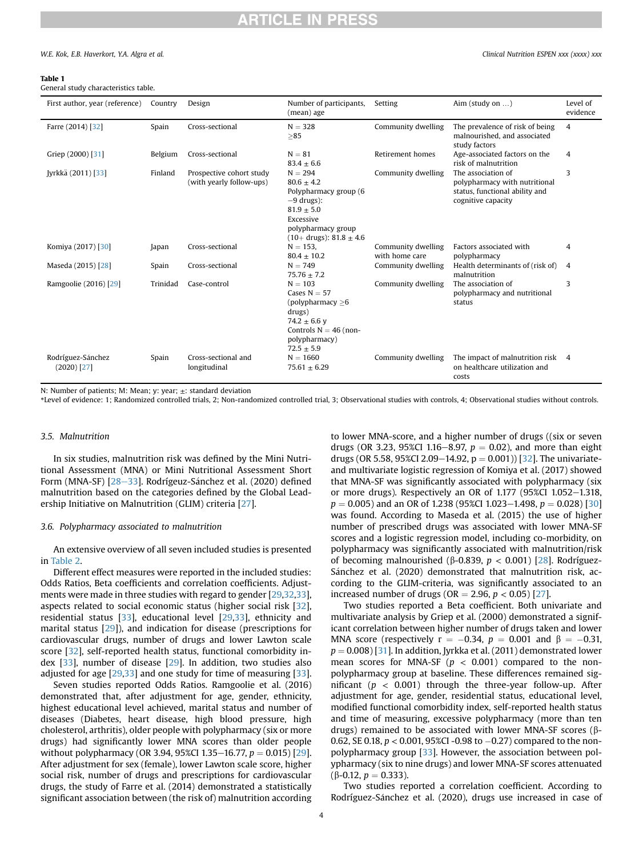#### W.E. Kok. E.B. Haverkort. Y.A. Algra et al. Clinical Nutrition ESPEN xxx (xxxx) xxx

#### <span id="page-3-0"></span>Table 1

General study characteristics table.

| First author, year (reference)     | Country  | Design                                               | Number of participants,<br>(mean) age                                                                                                                    | Setting                              | Aim (study on $\dots$ )                                                                                     | Level of<br>evidence |
|------------------------------------|----------|------------------------------------------------------|----------------------------------------------------------------------------------------------------------------------------------------------------------|--------------------------------------|-------------------------------------------------------------------------------------------------------------|----------------------|
| Farre (2014) [32]                  | Spain    | Cross-sectional                                      | $N = 328$<br>>85                                                                                                                                         | Community dwelling                   | The prevalence of risk of being<br>malnourished, and associated<br>study factors                            | 4                    |
| Griep (2000) [31]                  | Belgium  | Cross-sectional                                      | $N = 81$<br>$83.4 \pm 6.6$                                                                                                                               | Retirement homes                     | Age-associated factors on the<br>risk of malnutrition                                                       | 4                    |
| [yrkkä (2011) [33]                 | Finland  | Prospective cohort study<br>(with yearly follow-ups) | $N = 294$<br>$80.6 + 4.2$<br>Polypharmacy group (6<br>$-9$ drugs):<br>$81.9 \pm 5.0$<br>Excessive<br>polypharmacy group<br>$(10+$ drugs): $81.8 \pm 4.6$ | Community dwelling                   | The association of<br>polypharmacy with nutritional<br>status, functional ability and<br>cognitive capacity | 3                    |
| Komiya (2017) [30]                 | Japan    | Cross-sectional                                      | $N = 153$ .<br>$80.4 \pm 10.2$                                                                                                                           | Community dwelling<br>with home care | Factors associated with<br>polypharmacy                                                                     | 4                    |
| Maseda (2015) [28]                 | Spain    | Cross-sectional                                      | $N = 749$<br>$75.76 + 7.2$                                                                                                                               | Community dwelling                   | Health determinants of (risk of)<br>malnutrition                                                            | 4                    |
| Ramgoolie (2016) [29]              | Trinidad | Case-control                                         | $N = 103$<br>Cases $N = 57$<br>(polypharmacy $\geq 6$<br>drugs)<br>74.2 $\pm$ 6.6 y<br>Controls $N = 46$ (non-<br>polypharmacy)<br>$72.5 \pm 5.9$        | Community dwelling                   | The association of<br>polypharmacy and nutritional<br>status                                                | 3                    |
| Rodríguez-Sánchez<br>$(2020)$ [27] | Spain    | Cross-sectional and<br>longitudinal                  | $N = 1660$<br>$75.61 \pm 6.29$                                                                                                                           | Community dwelling                   | The impact of malnutrition risk<br>on healthcare utilization and<br>costs                                   | 4                    |

N: Number of patients; M: Mean; y: year; ±: standard deviation

\*Level of evidence: 1; Randomized controlled trials, 2; Non-randomized controlled trial, 3; Observational studies with controls, 4; Observational studies without controls.

#### 3.5. Malnutrition

In six studies, malnutrition risk was defined by the Mini Nutritional Assessment (MNA) or Mini Nutritional Assessment Short Form (MNA-SF) [[28](#page-7-16)–[33\]](#page-7-16). Rodrígeuz-Sánchez et al. (2020) defined malnutrition based on the categories defined by the Global Leadership Initiative on Malnutrition (GLIM) criteria [\[27\]](#page-7-15).

#### 3.6. Polypharmacy associated to malnutrition

An extensive overview of all seven included studies is presented in [Table 2](#page-4-0).

Different effect measures were reported in the included studies: Odds Ratios, Beta coefficients and correlation coefficients. Adjustments were made in three studies with regard to gender [[29](#page-7-17)[,32,](#page-7-20)[33\]](#page-7-21), aspects related to social economic status (higher social risk [\[32\]](#page-7-20), residential status [[33\]](#page-7-21), educational level [[29](#page-7-17)[,33\]](#page-7-21), ethnicity and marital status [\[29\]](#page-7-17)), and indication for disease (prescriptions for cardiovascular drugs, number of drugs and lower Lawton scale score [\[32\]](#page-7-20), self-reported health status, functional comorbidity index [\[33\]](#page-7-21), number of disease [\[29\]](#page-7-17). In addition, two studies also adjusted for age [[29](#page-7-17)[,33\]](#page-7-21) and one study for time of measuring [\[33\]](#page-7-21).

Seven studies reported Odds Ratios. Ramgoolie et al. (2016) demonstrated that, after adjustment for age, gender, ethnicity, highest educational level achieved, marital status and number of diseases (Diabetes, heart disease, high blood pressure, high cholesterol, arthritis), older people with polypharmacy (six or more drugs) had significantly lower MNA scores than older people without polypharmacy (OR 3.94, 95%CI 1.35-16.77,  $p = 0.015$ ) [\[29\]](#page-7-17). After adjustment for sex (female), lower Lawton scale score, higher social risk, number of drugs and prescriptions for cardiovascular drugs, the study of Farre et al. (2014) demonstrated a statistically significant association between (the risk of) malnutrition according to lower MNA-score, and a higher number of drugs ((six or seven drugs (OR 3.23, 95%CI 1.16–8.97,  $p = 0.02$ ), and more than eight drugs (OR 5.58, 95%CI 2.09–14.92,  $p = 0.001$ ) [[32](#page-7-20)]. The univariateand multivariate logistic regression of Komiya et al. (2017) showed that MNA-SF was significantly associated with polypharmacy (six or more drugs). Respectively an OR of  $1.177$  (95%CI  $1.052-1.318$ ,  $p = 0.005$ ) and an OR of 1.238 (95%CI 1.023–1.498,  $p = 0.028$ ) [\[30\]](#page-7-18) was found. According to Maseda et al. (2015) the use of higher number of prescribed drugs was associated with lower MNA-SF scores and a logistic regression model, including co-morbidity, on polypharmacy was significantly associated with malnutrition/risk of becoming malnourished (β-0.839,  $p < 0.001$ ) [[28\]](#page-7-16). Rodríguez-Sánchez et al. (2020) demonstrated that malnutrition risk, according to the GLIM-criteria, was significantly associated to an increased number of drugs (OR = 2.96,  $p < 0.05$ ) [[27\]](#page-7-15).

Two studies reported a Beta coefficient. Both univariate and multivariate analysis by Griep et al. (2000) demonstrated a significant correlation between higher number of drugs taken and lower MNA score (respectively  $r = -0.34$ ,  $p = 0.001$  and  $\beta = -0.31$ ,  $p = 0.008$  [\[31](#page-7-19)]. In addition, Jyrkka et al. (2011) demonstrated lower mean scores for MNA-SF ( $p < 0.001$ ) compared to the nonpolypharmacy group at baseline. These differences remained significant ( $p < 0.001$ ) through the three-year follow-up. After adjustment for age, gender, residential status, educational level, modified functional comorbidity index, self-reported health status and time of measuring, excessive polypharmacy (more than ten drugs) remained to be associated with lower MNA-SF scores ( $\beta$ -0.62, SE 0.18,  $p < 0.001$ , 95%CI -0.98 to  $-0.27$ ) compared to the nonpolypharmacy group [\[33\]](#page-7-21). However, the association between polypharmacy (six to nine drugs) and lower MNA-SF scores attenuated ( $\beta$ -0.12,  $p = 0.333$ ).

Two studies reported a correlation coefficient. According to Rodríguez-Sanchez et al. (2020), drugs use increased in case of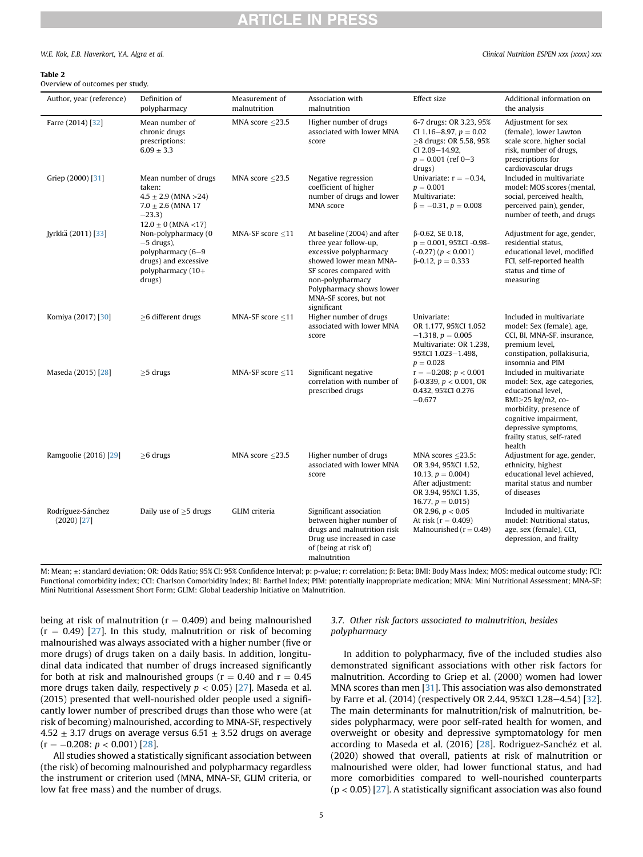#### W.E. Kok. E.B. Haverkort. Y.A. Algra et al. Clinical Nutrition ESPEN xxx (xxxx) xxx

| Overview of outcomes per study. |  |
|---------------------------------|--|

<span id="page-4-0"></span>Table 2

| Author, year (reference)           | Definition of<br>polypharmacy                                                                                             | Measurement of<br>malnutrition | Association with<br>malnutrition                                                                                                                                                                                              | Effect size                                                                                                                              | Additional information on<br>the analysis                                                                                                                                                                             |
|------------------------------------|---------------------------------------------------------------------------------------------------------------------------|--------------------------------|-------------------------------------------------------------------------------------------------------------------------------------------------------------------------------------------------------------------------------|------------------------------------------------------------------------------------------------------------------------------------------|-----------------------------------------------------------------------------------------------------------------------------------------------------------------------------------------------------------------------|
| Farre (2014) [32]                  | Mean number of<br>chronic drugs<br>prescriptions:<br>$6.09 \pm 3.3$                                                       | MNA score $\leq$ 23.5          | Higher number of drugs<br>associated with lower MNA<br>score                                                                                                                                                                  | 6-7 drugs: OR 3.23, 95%<br>CI 1.16-8.97, $p = 0.02$<br>$\geq$ 8 drugs: OR 5.58, 95%<br>CI 2.09-14.92,<br>$p = 0.001$ (ref 0-3)<br>drugs) | Adjustment for sex<br>(female), lower Lawton<br>scale score, higher social<br>risk, number of drugs,<br>prescriptions for<br>cardiovascular drugs                                                                     |
| Griep (2000) [31]                  | Mean number of drugs<br>taken:<br>$4.5 \pm 2.9$ (MNA > 24)<br>$7.0 \pm 2.6$ (MNA 17<br>$-23.3)$<br>$12.0 \pm 0$ (MNA <17) | MNA score $<$ 23.5             | Negative regression<br>coefficient of higher<br>number of drugs and lower<br>MNA score                                                                                                                                        | Univariate: $r = -0.34$ ,<br>$p = 0.001$<br>Multivariate:<br>$\beta = -0.31, p = 0.008$                                                  | Included in multivariate<br>model: MOS scores (mental,<br>social, perceived health,<br>perceived pain), gender,<br>number of teeth, and drugs                                                                         |
| Jyrkkä (2011) [33]                 | Non-polypharmacy (0<br>$-5$ drugs),<br>polypharmacy (6-9<br>drugs) and excessive<br>polypharmacy $(10+)$<br>drugs)        | MNA-SF score $\leq$ 11         | At baseline (2004) and after<br>three year follow-up,<br>excessive polypharmacy<br>showed lower mean MNA-<br>SF scores compared with<br>non-polypharmacy<br>Polypharmacy shows lower<br>MNA-SF scores, but not<br>significant | $\beta$ -0.62, SE 0.18,<br>$p = 0.001$ , 95%CI -0.98-<br>$(-0.27)$ $(p < 0.001)$<br>$\beta$ -0.12, $p = 0.333$                           | Adjustment for age, gender,<br>residential status,<br>educational level, modified<br>FCI, self-reported health<br>status and time of<br>measuring                                                                     |
| Komiya (2017) [30]                 | >6 different drugs                                                                                                        | MNA-SF score <11               | Higher number of drugs<br>associated with lower MNA<br>score                                                                                                                                                                  | Univariate:<br>OR 1.177, 95%CI 1.052<br>$-1.318$ , $p = 0.005$<br>Multivariate: OR 1.238,<br>95%CI 1.023-1.498,<br>$p = 0.028$           | Included in multivariate<br>model: Sex (female), age,<br>CCI, BI, MNA-SF, insurance,<br>premium level,<br>constipation, pollakisuria,<br>insomnia and PIM                                                             |
| Maseda (2015) [28]                 | $\geq$ 5 drugs                                                                                                            | MNA-SF score $\leq$ 11         | Significant negative<br>correlation with number of<br>prescribed drugs                                                                                                                                                        | $r = -0.208$ ; $p < 0.001$<br>$\beta$ -0.839, $p < 0.001$ , OR<br>0.432, 95%CI 0.276<br>$-0.677$                                         | Included in multivariate<br>model: Sex, age categories,<br>educational level.<br>BMI≥25 kg/m2, co-<br>morbidity, presence of<br>cognitive impairment,<br>depressive symptoms,<br>frailty status, self-rated<br>health |
| Ramgoolie (2016) [29]              | $\geq$ 6 drugs                                                                                                            | MNA score $<$ 23.5             | Higher number of drugs<br>associated with lower MNA<br>score                                                                                                                                                                  | MNA scores $<$ 23.5:<br>OR 3.94, 95%CI 1.52,<br>10.13, $p = 0.004$<br>After adjustment:<br>OR 3.94, 95%CI 1.35,<br>16.77, $p = 0.015$    | Adjustment for age, gender,<br>ethnicity, highest<br>educational level achieved,<br>marital status and number<br>of diseases                                                                                          |
| Rodríguez-Sánchez<br>$(2020)$ [27] | Daily use of $\geq$ 5 drugs                                                                                               | GLIM criteria                  | Significant association<br>between higher number of<br>drugs and malnutrition risk<br>Drug use increased in case<br>of (being at risk of)<br>malnutrition                                                                     | OR 2.96, $p < 0.05$<br>At risk ( $r = 0.409$ )<br>Malnourished ( $r = 0.49$ )                                                            | Included in multivariate<br>model: Nutritional status,<br>age, sex (female), CCI,<br>depression, and frailty                                                                                                          |

M: Mean; ±: standard deviation; OR: Odds Ratio; 95% CI: 95% Confidence Interval; p: p-value; r: correlation; β: Beta; BMI: Body Mass Index; MOS: medical outcome study; FCI: Functional comorbidity index; CCI: Charlson Comorbidity Index; BI: Barthel Index; PIM: potentially inappropriate medication; MNA: Mini Nutritional Assessment; MNA-SF: Mini Nutritional Assessment Short Form; GLIM: Global Leadership Initiative on Malnutrition.

being at risk of malnutrition ( $r = 0.409$ ) and being malnourished  $(r = 0.49)$  [\[27\]](#page-7-15). In this study, malnutrition or risk of becoming malnourished was always associated with a higher number (five or more drugs) of drugs taken on a daily basis. In addition, longitudinal data indicated that number of drugs increased significantly for both at risk and malnourished groups ( $r = 0.40$  and  $r = 0.45$ ) more drugs taken daily, respectively  $p < 0.05$ ) [[27](#page-7-15)]. Maseda et al. (2015) presented that well-nourished older people used a significantly lower number of prescribed drugs than those who were (at risk of becoming) malnourished, according to MNA-SF, respectively 4.52  $\pm$  3.17 drugs on average versus 6.51  $\pm$  3.52 drugs on average  $(r = -0.208; p < 0.001)$  [\[28\]](#page-7-16).

All studies showed a statistically significant association between (the risk) of becoming malnourished and polypharmacy regardless the instrument or criterion used (MNA, MNA-SF, GLIM criteria, or low fat free mass) and the number of drugs.

### 3.7. Other risk factors associated to malnutrition, besides polypharmacy

In addition to polypharmacy, five of the included studies also demonstrated significant associations with other risk factors for malnutrition. According to Griep et al. (2000) women had lower MNA scores than men [\[31](#page-7-19)]. This association was also demonstrated by Farre et al. (2014) (respectively OR 2.44, 95%CI 1.28-4.54) [\[32\]](#page-7-20). The main determinants for malnutrition/risk of malnutrition, besides polypharmacy, were poor self-rated health for women, and overweight or obesity and depressive symptomatology for men according to Maseda et al. (2016) [[28\]](#page-7-16). Rodriguez-Sanchéz et al. (2020) showed that overall, patients at risk of malnutrition or malnourished were older, had lower functional status, and had more comorbidities compared to well-nourished counterparts  $(p < 0.05)$  [\[27\]](#page-7-15). A statistically significant association was also found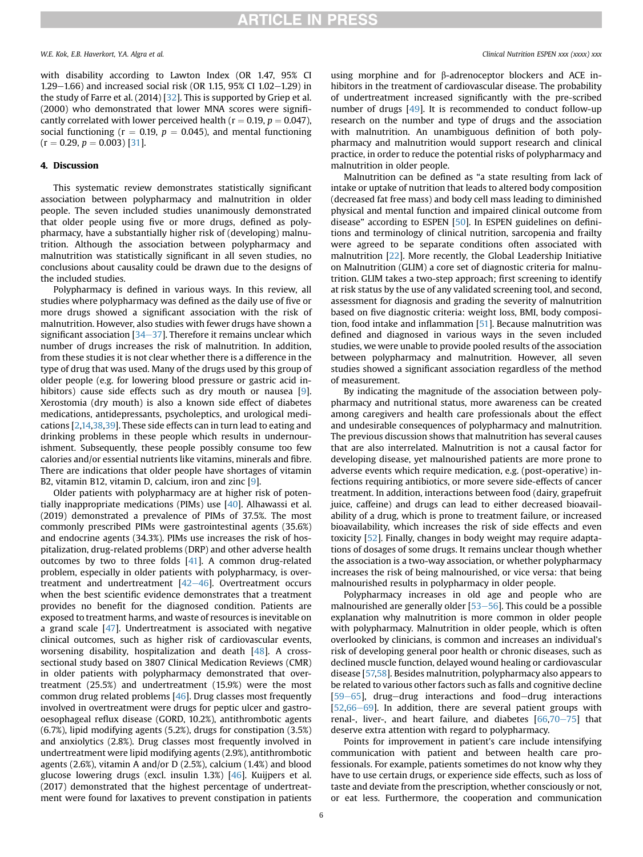W.E. Kok, E.B. Haverkort, Y.A. Algra et al. Clinical Nutrition ESPEN xxx (xxxx) xxx

with disability according to Lawton Index (OR 1.47, 95% CI 1.29–1.66) and increased social risk (OR 1.15, 95% CI 1.02–1.29) in the study of Farre et al. (2014) [\[32\]](#page-7-20). This is supported by Griep et al. (2000) who demonstrated that lower MNA scores were significantly correlated with lower perceived health ( $r = 0.19$ ,  $p = 0.047$ ), social functioning ( $r = 0.19$ ,  $p = 0.045$ ), and mental functioning  $(r = 0.29, p = 0.003)$  [\[31](#page-7-19)].

#### 4. Discussion

This systematic review demonstrates statistically significant association between polypharmacy and malnutrition in older people. The seven included studies unanimously demonstrated that older people using five or more drugs, defined as polypharmacy, have a substantially higher risk of (developing) malnutrition. Although the association between polypharmacy and malnutrition was statistically significant in all seven studies, no conclusions about causality could be drawn due to the designs of the included studies.

Polypharmacy is defined in various ways. In this review, all studies where polypharmacy was defined as the daily use of five or more drugs showed a significant association with the risk of malnutrition. However, also studies with fewer drugs have shown a significant association  $[34-37]$  $[34-37]$  $[34-37]$  $[34-37]$ . Therefore it remains unclear which number of drugs increases the risk of malnutrition. In addition, from these studies it is not clear whether there is a difference in the type of drug that was used. Many of the drugs used by this group of older people (e.g. for lowering blood pressure or gastric acid in-hibitors) cause side effects such as dry mouth or nausea [\[9\]](#page-7-1). Xerostomia (dry mouth) is also a known side effect of diabetes medications, antidepressants, psycholeptics, and urological medications [\[2,](#page-6-1)[14](#page-7-6)[,38](#page-7-23)[,39\]](#page-7-24). These side effects can in turn lead to eating and drinking problems in these people which results in undernourishment. Subsequently, these people possibly consume too few calories and/or essential nutrients like vitamins, minerals and fibre. There are indications that older people have shortages of vitamin B2, vitamin B12, vitamin D, calcium, iron and zinc [\[9](#page-7-1)].

Older patients with polypharmacy are at higher risk of potentially inappropriate medications (PIMs) use [[40](#page-7-25)]. Alhawassi et al. (2019) demonstrated a prevalence of PIMs of 37.5%. The most commonly prescribed PIMs were gastrointestinal agents (35.6%) and endocrine agents (34.3%). PIMs use increases the risk of hospitalization, drug-related problems (DRP) and other adverse health outcomes by two to three folds [[41\]](#page-7-26). A common drug-related problem, especially in older patients with polypharmacy, is overtreatment and undertreatment  $[42-46]$  $[42-46]$  $[42-46]$  $[42-46]$ . Overtreatment occurs when the best scientific evidence demonstrates that a treatment provides no benefit for the diagnosed condition. Patients are exposed to treatment harms, and waste of resources is inevitable on a grand scale [[47](#page-7-28)]. Undertreatment is associated with negative clinical outcomes, such as higher risk of cardiovascular events, worsening disability, hospitalization and death [[48](#page-7-29)]. A crosssectional study based on 3807 Clinical Medication Reviews (CMR) in older patients with polypharmacy demonstrated that overtreatment (25.5%) and undertreatment (15.9%) were the most common drug related problems [[46](#page-7-30)]. Drug classes most frequently involved in overtreatment were drugs for peptic ulcer and gastrooesophageal reflux disease (GORD, 10.2%), antithrombotic agents (6.7%), lipid modifying agents (5.2%), drugs for constipation (3.5%) and anxiolytics (2.8%). Drug classes most frequently involved in undertreatment were lipid modifying agents (2.9%), antithrombotic agents (2.6%), vitamin A and/or D (2.5%), calcium (1.4%) and blood glucose lowering drugs (excl. insulin 1.3%) [\[46\]](#page-7-30). Kuijpers et al. (2017) demonstrated that the highest percentage of undertreatment were found for laxatives to prevent constipation in patients

using morphine and for  $\beta$ -adrenoceptor blockers and ACE inhibitors in the treatment of cardiovascular disease. The probability of undertreatment increased significantly with the pre-scribed number of drugs [\[49\]](#page-7-31). It is recommended to conduct follow-up research on the number and type of drugs and the association with malnutrition. An unambiguous definition of both polypharmacy and malnutrition would support research and clinical practice, in order to reduce the potential risks of polypharmacy and malnutrition in older people.

Malnutrition can be defined as "a state resulting from lack of intake or uptake of nutrition that leads to altered body composition (decreased fat free mass) and body cell mass leading to diminished physical and mental function and impaired clinical outcome from disease" according to ESPEN [[50](#page-7-32)]. In ESPEN guidelines on definitions and terminology of clinical nutrition, sarcopenia and frailty were agreed to be separate conditions often associated with malnutrition [[22](#page-7-10)]. More recently, the Global Leadership Initiative on Malnutrition (GLIM) a core set of diagnostic criteria for malnutrition. GLIM takes a two-step approach; first screening to identify at risk status by the use of any validated screening tool, and second, assessment for diagnosis and grading the severity of malnutrition based on five diagnostic criteria: weight loss, BMI, body composition, food intake and inflammation [\[51](#page-7-33)]. Because malnutrition was defined and diagnosed in various ways in the seven included studies, we were unable to provide pooled results of the association between polypharmacy and malnutrition. However, all seven studies showed a significant association regardless of the method of measurement.

By indicating the magnitude of the association between polypharmacy and nutritional status, more awareness can be created among caregivers and health care professionals about the effect and undesirable consequences of polypharmacy and malnutrition. The previous discussion shows that malnutrition has several causes that are also interrelated. Malnutrition is not a causal factor for developing disease, yet malnourished patients are more prone to adverse events which require medication, e.g. (post-operative) infections requiring antibiotics, or more severe side-effects of cancer treatment. In addition, interactions between food (dairy, grapefruit juice, caffeine) and drugs can lead to either decreased bioavailability of a drug, which is prone to treatment failure, or increased bioavailability, which increases the risk of side effects and even toxicity [\[52\]](#page-7-34). Finally, changes in body weight may require adaptations of dosages of some drugs. It remains unclear though whether the association is a two-way association, or whether polypharmacy increases the risk of being malnourished, or vice versa: that being malnourished results in polypharmacy in older people.

Polypharmacy increases in old age and people who are malnourished are generally older  $[53–56]$  $[53–56]$  $[53–56]$  $[53–56]$ . This could be a possible explanation why malnutrition is more common in older people with polypharmacy. Malnutrition in older people, which is often overlooked by clinicians, is common and increases an individual's risk of developing general poor health or chronic diseases, such as declined muscle function, delayed wound healing or cardiovascular disease [[57,](#page-7-36)[58\]](#page-7-37). Besides malnutrition, polypharmacy also appears to be related to various other factors such as falls and cognitive decline  $[59-65]$  $[59-65]$  $[59-65]$  $[59-65]$ , drug-drug interactions and food-drug interactions  $[52,66-69]$  $[52,66-69]$  $[52,66-69]$  $[52,66-69]$  $[52,66-69]$  $[52,66-69]$  $[52,66-69]$ . In addition, there are several patient groups with renal-, liver-, and heart failure, and diabetes  $[66,70-75]$  $[66,70-75]$  $[66,70-75]$  $[66,70-75]$  $[66,70-75]$  $[66,70-75]$  that deserve extra attention with regard to polypharmacy.

Points for improvement in patient's care include intensifying communication with patient and between health care professionals. For example, patients sometimes do not know why they have to use certain drugs, or experience side effects, such as loss of taste and deviate from the prescription, whether consciously or not, or eat less. Furthermore, the cooperation and communication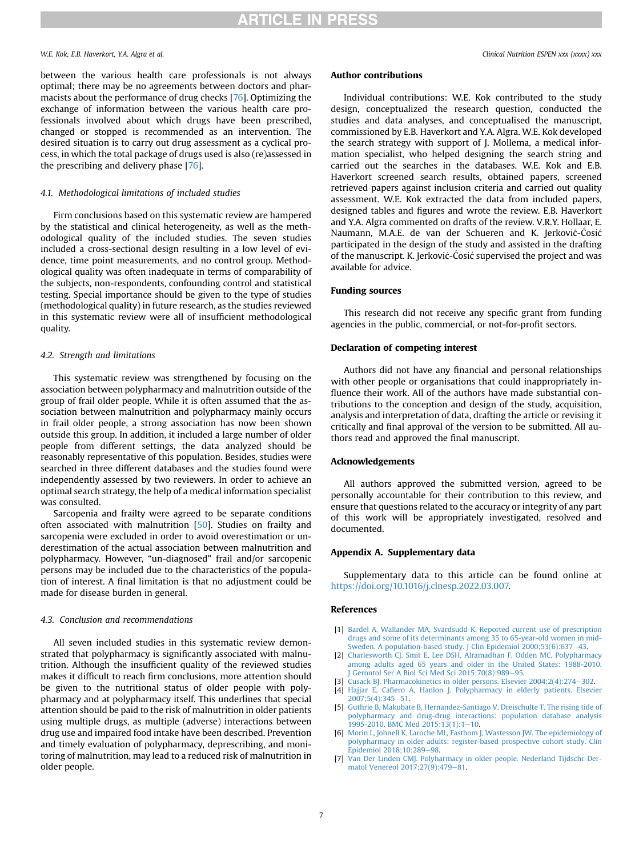#### W.E. Kok. E.B. Haverkort. Y.A. Algra et al. Clinical Nutrition ESPEN xxx (xxxx) xxx

between the various health care professionals is not always optimal; there may be no agreements between doctors and pharmacists about the performance of drug checks [\[76](#page-8-1)]. Optimizing the exchange of information between the various health care professionals involved about which drugs have been prescribed, changed or stopped is recommended as an intervention. The desired situation is to carry out drug assessment as a cyclical process, in which the total package of drugs used is also (re)assessed in the prescribing and delivery phase [\[76\]](#page-8-1).

#### 4.1. Methodological limitations of included studies

Firm conclusions based on this systematic review are hampered by the statistical and clinical heterogeneity, as well as the methodological quality of the included studies. The seven studies included a cross-sectional design resulting in a low level of evidence, time point measurements, and no control group. Methodological quality was often inadequate in terms of comparability of the subjects, non-respondents, confounding control and statistical testing. Special importance should be given to the type of studies (methodological quality) in future research, as the studies reviewed in this systematic review were all of insufficient methodological quality.

#### 4.2. Strength and limitations

This systematic review was strengthened by focusing on the association between polypharmacy and malnutrition outside of the group of frail older people. While it is often assumed that the association between malnutrition and polypharmacy mainly occurs in frail older people, a strong association has now been shown outside this group. In addition, it included a large number of older people from different settings, the data analyzed should be reasonably representative of this population. Besides, studies were searched in three different databases and the studies found were independently assessed by two reviewers. In order to achieve an optimal search strategy, the help of a medical information specialist was consulted.

Sarcopenia and frailty were agreed to be separate conditions often associated with malnutrition [[50](#page-7-32)]. Studies on frailty and sarcopenia were excluded in order to avoid overestimation or underestimation of the actual association between malnutrition and polypharmacy. However, "un-diagnosed" frail and/or sarcopenic persons may be included due to the characteristics of the population of interest. A final limitation is that no adjustment could be made for disease burden in general.

#### 4.3. Conclusion and recommendations

All seven included studies in this systematic review demonstrated that polypharmacy is significantly associated with malnutrition. Although the insufficient quality of the reviewed studies makes it difficult to reach firm conclusions, more attention should be given to the nutritional status of older people with polypharmacy and at polypharmacy itself. This underlines that special attention should be paid to the risk of malnutrition in older patients using multiple drugs, as multiple (adverse) interactions between drug use and impaired food intake have been described. Prevention and timely evaluation of polypharmacy, deprescribing, and monitoring of malnutrition, may lead to a reduced risk of malnutrition in older people.

#### Author contributions

Individual contributions: W.E. Kok contributed to the study design, conceptualized the research question, conducted the studies and data analyses, and conceptualised the manuscript, commissioned by E.B. Haverkort and Y.A. Algra. W.E. Kok developed the search strategy with support of J. Mollema, a medical information specialist, who helped designing the search string and carried out the searches in the databases. W.E. Kok and E.B. Haverkort screened search results, obtained papers, screened retrieved papers against inclusion criteria and carried out quality assessment. W.E. Kok extracted the data from included papers, designed tables and figures and wrote the review. E.B. Haverkort and Y.A. Algra commented on drafts of the review. V.R.Y. Hollaar, E. Naumann, M.A.E. de van der Schueren and K. Jerkovic- Cosic participated in the design of the study and assisted in the drafting of the manuscript. K. Jerkovic- Cosic supervised the project and was available for advice.

#### Funding sources

This research did not receive any specific grant from funding agencies in the public, commercial, or not-for-profit sectors.

#### Declaration of competing interest

Authors did not have any financial and personal relationships with other people or organisations that could inappropriately influence their work. All of the authors have made substantial contributions to the conception and design of the study, acquisition, analysis and interpretation of data, drafting the article or revising it critically and final approval of the version to be submitted. All authors read and approved the final manuscript.

#### Acknowledgements

All authors approved the submitted version, agreed to be personally accountable for their contribution to this review, and ensure that questions related to the accuracy or integrity of any part of this work will be appropriately investigated, resolved and documented.

#### <span id="page-6-6"></span>Appendix A. Supplementary data

Supplementary data to this article can be found online at [https://doi.org/10.1016/j.clnesp.2022.03.007.](https://doi.org/10.1016/j.clnesp.2022.03.007)

#### References

- <span id="page-6-0"></span>[1] Bardel A, Wallander MA, Svärdsudd K. Reported current use of prescription [drugs and some of its determinants among 35 to 65-year-old women in mid-](http://refhub.elsevier.com/S2405-4577(22)00181-4/sref1)[Sweden. A population-based study. J Clin Epidemiol 2000;53\(6\):637](http://refhub.elsevier.com/S2405-4577(22)00181-4/sref1)-[43.](http://refhub.elsevier.com/S2405-4577(22)00181-4/sref1)
- <span id="page-6-1"></span>[2] [Charlesworth CJ, Smit E, Lee DSH, Alramadhan F, Odden MC. Polypharmacy](http://refhub.elsevier.com/S2405-4577(22)00181-4/sref2) [among adults aged 65 years and older in the United States: 1988-2010.](http://refhub.elsevier.com/S2405-4577(22)00181-4/sref2) [J Gerontol Ser A Biol Sci Med Sci 2015;70\(8\):989](http://refhub.elsevier.com/S2405-4577(22)00181-4/sref2)-[95.](http://refhub.elsevier.com/S2405-4577(22)00181-4/sref2)
- <span id="page-6-2"></span>[3] [Cusack BJ. Pharmacokinetics in older persons. Elsevier 2004;2\(4\):274](http://refhub.elsevier.com/S2405-4577(22)00181-4/sref3)-[302](http://refhub.elsevier.com/S2405-4577(22)00181-4/sref3).
- <span id="page-6-3"></span>[4] Hajjar E, Cafi[ero A, Hanlon J. Polypharmacy in elderly patients. Elsevier](http://refhub.elsevier.com/S2405-4577(22)00181-4/sref4)  $2007:5(4):345-51.$  $2007:5(4):345-51.$
- <span id="page-6-5"></span>[5] [Guthrie B, Makubate B, Hernandez-Santiago V, Dreischulte T. The rising tide of](http://refhub.elsevier.com/S2405-4577(22)00181-4/sref5) [polypharmacy and drug-drug interactions: population database analysis](http://refhub.elsevier.com/S2405-4577(22)00181-4/sref5) 1995-20[10.](http://refhub.elsevier.com/S2405-4577(22)00181-4/sref5) BMC Med  $2015;13(1):1-10$ .
- [6] [Morin L, Johnell K, Laroche ML, Fastbom J, Wastesson JW. The epidemiology of](http://refhub.elsevier.com/S2405-4577(22)00181-4/sref6) [polypharmacy in older adults: register-based prospective cohort study. Clin](http://refhub.elsevier.com/S2405-4577(22)00181-4/sref6) [Epidemiol 2018;10:289](http://refhub.elsevier.com/S2405-4577(22)00181-4/sref6)-[98.](http://refhub.elsevier.com/S2405-4577(22)00181-4/sref6)
- <span id="page-6-4"></span>[7] [Van Der Linden CMJ. Polyharmacy in older people. Nederland Tijdschr Der](http://refhub.elsevier.com/S2405-4577(22)00181-4/sref7)[matol Venereol 2017;27\(9\):479](http://refhub.elsevier.com/S2405-4577(22)00181-4/sref7)-[81](http://refhub.elsevier.com/S2405-4577(22)00181-4/sref7).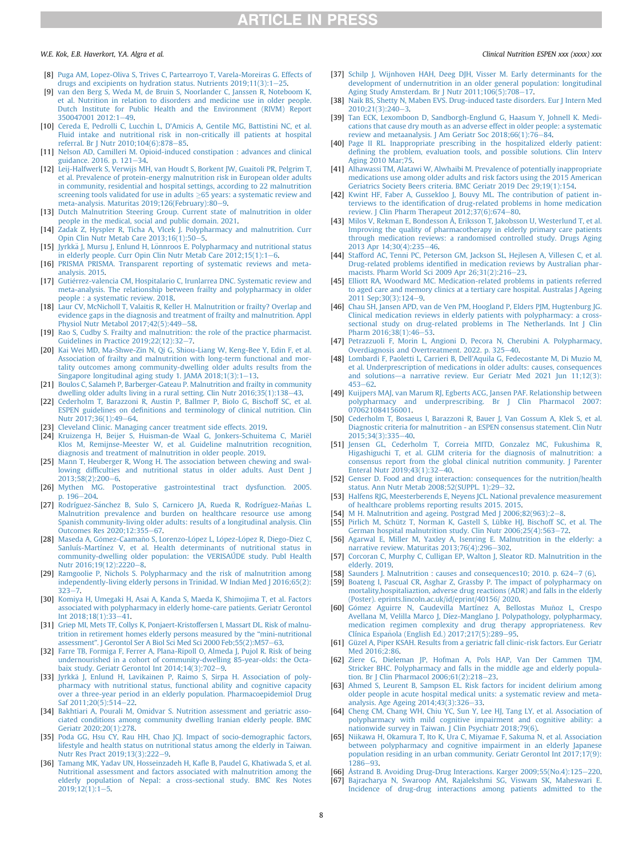#### W.E. Kok. E.B. Haverkort. Y.A. Algra et al. Clinical Nutrition ESPEN xxx (xxxx) xxx

- <span id="page-7-0"></span>[8] [Puga AM, Lopez-Oliva S, Trives C, Partearroyo T, Varela-Moreiras G. Effects of](http://refhub.elsevier.com/S2405-4577(22)00181-4/sref8) drugs and excipients on hydration status. Nutrients  $2019;11(3):1-25$ .
- <span id="page-7-1"></span>[9] [van den Berg S, Weda M, de Bruin S, Noorlander C, Janssen R, Noteboom K,](http://refhub.elsevier.com/S2405-4577(22)00181-4/sref9) [et al. Nutrition in relation to disorders and medicine use in older people.](http://refhub.elsevier.com/S2405-4577(22)00181-4/sref9) [Dutch Institute for Public Health and the Environment \(RIVM\) Report](http://refhub.elsevier.com/S2405-4577(22)00181-4/sref9) [350047001 2012:1](http://refhub.elsevier.com/S2405-4577(22)00181-4/sref9)-[49.](http://refhub.elsevier.com/S2405-4577(22)00181-4/sref9)
- <span id="page-7-2"></span>[10] [Cereda E, Pedrolli C, Lucchin L, D'Amicis A, Gentile MG, Battistini NC, et al.](http://refhub.elsevier.com/S2405-4577(22)00181-4/sref10) [Fluid intake and nutritional risk in non-critically ill patients at hospital](http://refhub.elsevier.com/S2405-4577(22)00181-4/sref10) referral. Br J Nutr 2010:104(6):878-[85.](http://refhub.elsevier.com/S2405-4577(22)00181-4/sref10)
- <span id="page-7-3"></span>[11] [Nelson AD, Camilleri M. Opioid-induced constipation : advances and clinical](http://refhub.elsevier.com/S2405-4577(22)00181-4/sref11) guidance. 2016. p.  $121 - 34$  $121 - 34$ .
- <span id="page-7-4"></span>[12] [Leij-Halfwerk S, Verwijs MH, van Houdt S, Borkent JW, Guaitoli PR, Pelgrim T,](http://refhub.elsevier.com/S2405-4577(22)00181-4/sref12) [et al. Prevalence of protein-energy malnutrition risk in European older adults](http://refhub.elsevier.com/S2405-4577(22)00181-4/sref12) [in community, residential and hospital settings, according to 22 malnutrition](http://refhub.elsevier.com/S2405-4577(22)00181-4/sref12) [screening tools validated for use in adults](http://refhub.elsevier.com/S2405-4577(22)00181-4/sref12)  $\geq$  [65 years: a systematic review and](http://refhub.elsevier.com/S2405-4577(22)00181-4/sref12) meta-analysis. Maturitas 201[9](http://refhub.elsevier.com/S2405-4577(22)00181-4/sref12):126(February):80-9.
- <span id="page-7-5"></span>[13] [Dutch Malnutrition Steering Group. Current state of malnutrition in older](http://refhub.elsevier.com/S2405-4577(22)00181-4/sref13) [people in the medical, social and public domain. 2021.](http://refhub.elsevier.com/S2405-4577(22)00181-4/sref13)
- <span id="page-7-6"></span>[14] [Zadak Z, Hyspler R, Ticha A, Vlcek J. Polypharmacy and malnutrition. Curr](http://refhub.elsevier.com/S2405-4577(22)00181-4/sref14) [Opin Clin Nutr Metab Care 2013;16\(1\):50](http://refhub.elsevier.com/S2405-4577(22)00181-4/sref14)–[5](http://refhub.elsevier.com/S2405-4577(22)00181-4/sref14).
- <span id="page-7-7"></span>[15] [Jyrkk](http://refhub.elsevier.com/S2405-4577(22)00181-4/sref15)ä J, Mursu J, Enlund H, Lönnroos E. Polypharmacy and nutritional status [in elderly people. Curr Opin Clin Nutr Metab Care 2012;15\(1\):1](http://refhub.elsevier.com/S2405-4577(22)00181-4/sref15)-[6](http://refhub.elsevier.com/S2405-4577(22)00181-4/sref15).
- <span id="page-7-8"></span>[16] [PRISMA PRISMA. Transparent reporting of systematic reviews and meta](http://refhub.elsevier.com/S2405-4577(22)00181-4/sref16)[analysis. 2015.](http://refhub.elsevier.com/S2405-4577(22)00181-4/sref16)
- <span id="page-7-9"></span>[17] [Gutierrez-valencia CM, Hospitalario C, Irunlarrea DNC. Systematic review and](http://refhub.elsevier.com/S2405-4577(22)00181-4/sref17) [meta-analysis. The relationship between frailty and polypharmacy in older](http://refhub.elsevier.com/S2405-4577(22)00181-4/sref17) [people : a systematic review. 2018.](http://refhub.elsevier.com/S2405-4577(22)00181-4/sref17)
- [18] [Laur CV, McNicholl T, Valaitis R, Keller H. Malnutrition or frailty? Overlap and](http://refhub.elsevier.com/S2405-4577(22)00181-4/sref18) [evidence gaps in the diagnosis and treatment of frailty and malnutrition. Appl](http://refhub.elsevier.com/S2405-4577(22)00181-4/sref18) [Physiol Nutr Metabol 2017;42\(5\):449](http://refhub.elsevier.com/S2405-4577(22)00181-4/sref18)-[58.](http://refhub.elsevier.com/S2405-4577(22)00181-4/sref18)
- [19] [Rao S, Cudby S. Frailty and malnutrition: the role of the practice pharmacist.](http://refhub.elsevier.com/S2405-4577(22)00181-4/sref19) Guidelines in Practice  $2019;22(12):32-7$  $2019;22(12):32-7$ .
- [20] [Kai Wei MD, Ma-Shwe-Zin N, Qi G, Shiou-Liang W, Keng-Bee Y, Edin F, et al.](http://refhub.elsevier.com/S2405-4577(22)00181-4/sref20) [Association of frailty and malnutrition with long-term functional and mor](http://refhub.elsevier.com/S2405-4577(22)00181-4/sref20)[tality outcomes among community-dwelling older adults results from the](http://refhub.elsevier.com/S2405-4577(22)00181-4/sref20) [Singapore longitudinal aging study 1. JAMA 2018;1\(3\):1](http://refhub.elsevier.com/S2405-4577(22)00181-4/sref20)-[13.](http://refhub.elsevier.com/S2405-4577(22)00181-4/sref20)
- [21] [Boulos C, Salameh P, Barberger-Gateau P. Malnutrition and frailty in community](http://refhub.elsevier.com/S2405-4577(22)00181-4/sref21) [dwelling older adults living in a rural setting. Clin Nutr 2016;35\(1\):138](http://refhub.elsevier.com/S2405-4577(22)00181-4/sref21)-[43.](http://refhub.elsevier.com/S2405-4577(22)00181-4/sref21)
- <span id="page-7-10"></span>[22] [Cederholm T, Barazzoni R, Austin P, Ballmer P, Biolo G, Bischoff SC, et al.](http://refhub.elsevier.com/S2405-4577(22)00181-4/sref22) ESPEN guidelines on defi[nitions and terminology of clinical nutrition. Clin](http://refhub.elsevier.com/S2405-4577(22)00181-4/sref22) [Nutr 2017;36\(1\):49](http://refhub.elsevier.com/S2405-4577(22)00181-4/sref22)-[64](http://refhub.elsevier.com/S2405-4577(22)00181-4/sref22).
- <span id="page-7-11"></span>[23] [Cleveland Clinic. Managing cancer treatment side effects. 2019.](http://refhub.elsevier.com/S2405-4577(22)00181-4/sref23)
- <span id="page-7-12"></span>[24] [Kruizenga H, Beijer S, Huisman-de Waal G, Jonkers-Schuitema C, Mari](http://refhub.elsevier.com/S2405-4577(22)00181-4/sref24)ë[l](http://refhub.elsevier.com/S2405-4577(22)00181-4/sref24) [Klos M, Remijnse-Meester W, et al. Guideline malnutrition recognition,](http://refhub.elsevier.com/S2405-4577(22)00181-4/sref24) [diagnosis and treatment of malnutrition in older people. 2019.](http://refhub.elsevier.com/S2405-4577(22)00181-4/sref24)
- <span id="page-7-13"></span>[25] [Mann T, Heuberger R, Wong H. The association between chewing and swal](http://refhub.elsevier.com/S2405-4577(22)00181-4/sref25)lowing diffi[culties and nutritional status in older adults. Aust Dent J](http://refhub.elsevier.com/S2405-4577(22)00181-4/sref25) [2013;58\(2\):200](http://refhub.elsevier.com/S2405-4577(22)00181-4/sref25)-[6.](http://refhub.elsevier.com/S2405-4577(22)00181-4/sref25)
- <span id="page-7-14"></span>[26] [Mythen MG. Postoperative gastrointestinal tract dysfunction. 2005.](http://refhub.elsevier.com/S2405-4577(22)00181-4/sref26)  $196 - 204$  $196 - 204$
- <span id="page-7-15"></span>[27] Rodríguez-Sánchez B, Sulo S, Carnicero JA, Rueda R, Rodríguez-Mañ[as L.](http://refhub.elsevier.com/S2405-4577(22)00181-4/sref27) [Malnutrition prevalence and burden on healthcare resource use among](http://refhub.elsevier.com/S2405-4577(22)00181-4/sref27) [Spanish community-living older adults: results of a longitudinal analysis. Clin](http://refhub.elsevier.com/S2405-4577(22)00181-4/sref27) [Outcomes Res 2020;12:355](http://refhub.elsevier.com/S2405-4577(22)00181-4/sref27)-[67](http://refhub.elsevier.com/S2405-4577(22)00181-4/sref27).
- <span id="page-7-16"></span>[28] Maseda A, Gómez-Caamañ[o S, Lorenzo-L](http://refhub.elsevier.com/S2405-4577(22)00181-4/sref28)ópez L, López-Ló[pez R, Diego-Diez C,](http://refhub.elsevier.com/S2405-4577(22)00181-4/sref28) [Sanluís-Martínez V, et al. Health determinants of nutritional status in](http://refhub.elsevier.com/S2405-4577(22)00181-4/sref28) [community-dwelling older population: the VERISAÚDE study. Publ Health](http://refhub.elsevier.com/S2405-4577(22)00181-4/sref28) [Nutr 2016;19\(12\):2220](http://refhub.elsevier.com/S2405-4577(22)00181-4/sref28)-[8.](http://refhub.elsevier.com/S2405-4577(22)00181-4/sref28)
- <span id="page-7-17"></span>[29] [Ramgoolie P, Nichols S. Polypharmacy and the risk of malnutrition among](http://refhub.elsevier.com/S2405-4577(22)00181-4/sref29) [independently-living elderly persons in Trinidad. W Indian Med J 2016;65\(2\):](http://refhub.elsevier.com/S2405-4577(22)00181-4/sref29)  $323 - 7$  $323 - 7$  $323 - 7$
- <span id="page-7-18"></span>[30] [Komiya H, Umegaki H, Asai A, Kanda S, Maeda K, Shimojima T, et al. Factors](http://refhub.elsevier.com/S2405-4577(22)00181-4/sref30) [associated with polypharmacy in elderly home-care patients. Geriatr Gerontol](http://refhub.elsevier.com/S2405-4577(22)00181-4/sref30) Int  $2018;18(1):33-41$ .
- <span id="page-7-19"></span>[31] [Griep MI, Mets TF, Collys K, Ponjaert-Kristoffersen I, Massart DL. Risk of malnu](http://refhub.elsevier.com/S2405-4577(22)00181-4/sref31)[trition in retirement homes elderly persons measured by the](http://refhub.elsevier.com/S2405-4577(22)00181-4/sref31) "mini-nutritional assessment". J Gerontol Ser A Biol Sci Med Sci 2000 Feb; 55(2): M57-[63](http://refhub.elsevier.com/S2405-4577(22)00181-4/sref31).
- <span id="page-7-20"></span>[32] [Farre TB, Formiga F, Ferrer A, Plana-Ripoll O, Almeda J, Pujol R. Risk of being](http://refhub.elsevier.com/S2405-4577(22)00181-4/sref32) [undernourished in a cohort of community-dwelling 85-year-olds: the Octa](http://refhub.elsevier.com/S2405-4577(22)00181-4/sref32)baix study. Geriatr Gerontol Int  $2014;14(3):702-9$  $2014;14(3):702-9$ .
- <span id="page-7-21"></span>[33] [Jyrkk](http://refhub.elsevier.com/S2405-4577(22)00181-4/sref33)ä [J, Enlund H, Lavikainen P, Raimo S, Sirpa H. Association of poly](http://refhub.elsevier.com/S2405-4577(22)00181-4/sref33)[pharmacy with nutritional status, functional ability and cognitive capacity](http://refhub.elsevier.com/S2405-4577(22)00181-4/sref33) [over a three-year period in an elderly population. Pharmacoepidemiol Drug](http://refhub.elsevier.com/S2405-4577(22)00181-4/sref33) [Saf 2011;20\(5\):514](http://refhub.elsevier.com/S2405-4577(22)00181-4/sref33)-[22](http://refhub.elsevier.com/S2405-4577(22)00181-4/sref33).
- <span id="page-7-22"></span>[34] [Bakhtiari A, Pourali M, Omidvar S. Nutrition assessment and geriatric asso](http://refhub.elsevier.com/S2405-4577(22)00181-4/sref34)[ciated conditions among community dwelling Iranian elderly people. BMC](http://refhub.elsevier.com/S2405-4577(22)00181-4/sref34) [Geriatr 2020;20\(1\):278.](http://refhub.elsevier.com/S2405-4577(22)00181-4/sref34)
- [35] [Poda GG, Hsu CY, Rau HH, Chao JCJ. Impact of socio-demographic factors,](http://refhub.elsevier.com/S2405-4577(22)00181-4/sref35) [lifestyle and health status on nutritional status among the elderly in Taiwan.](http://refhub.elsevier.com/S2405-4577(22)00181-4/sref35) [Nutr Res Pract 2019;13\(3\):222](http://refhub.elsevier.com/S2405-4577(22)00181-4/sref35)-[9](http://refhub.elsevier.com/S2405-4577(22)00181-4/sref35).
- [36] [Tamang MK, Yadav UN, Hosseinzadeh H, Ka](http://refhub.elsevier.com/S2405-4577(22)00181-4/sref36)fle B, Paudel G, Khatiwada S, et al. [Nutritional assessment and factors associated with malnutrition among the](http://refhub.elsevier.com/S2405-4577(22)00181-4/sref36) [elderly population of Nepal: a cross-sectional study. BMC Res Notes](http://refhub.elsevier.com/S2405-4577(22)00181-4/sref36)  $2019:12(1):1-5$  $2019:12(1):1-5$ .

- [37] [Schilp J, Wijnhoven HAH, Deeg DJH, Visser M. Early determinants for the](http://refhub.elsevier.com/S2405-4577(22)00181-4/sref37) [development of undernutrition in an older general population: longitudinal](http://refhub.elsevier.com/S2405-4577(22)00181-4/sref37) [Aging Study Amsterdam. Br J Nutr 2011;106\(5\):708](http://refhub.elsevier.com/S2405-4577(22)00181-4/sref37)-[17.](http://refhub.elsevier.com/S2405-4577(22)00181-4/sref37)
- <span id="page-7-23"></span>[38] [Naik BS, Shetty N, Maben EVS. Drug-induced taste disorders. Eur J Intern Med](http://refhub.elsevier.com/S2405-4577(22)00181-4/sref38)  $2010:21(3):240-3.$  $2010:21(3):240-3.$
- <span id="page-7-24"></span>[39] [Tan ECK, Lexomboon D, Sandborgh-Englund G, Haasum Y, Johnell K. Medi](http://refhub.elsevier.com/S2405-4577(22)00181-4/sref39)[cations that cause dry mouth as an adverse effect in older people: a systematic](http://refhub.elsevier.com/S2405-4577(22)00181-4/sref39) [review and metaanalysis. J Am Geriatr Soc 2018;66\(1\):76](http://refhub.elsevier.com/S2405-4577(22)00181-4/sref39)-[84](http://refhub.elsevier.com/S2405-4577(22)00181-4/sref39).
- <span id="page-7-25"></span>[40] [Page II RL. Inappropriate prescribing in the hospitalized elderly patient:](http://refhub.elsevier.com/S2405-4577(22)00181-4/sref40) defi[ning the problem, evaluation tools, and possible solutions. Clin Interv](http://refhub.elsevier.com/S2405-4577(22)00181-4/sref40) [Aging 2010 Mar;75](http://refhub.elsevier.com/S2405-4577(22)00181-4/sref40).
- <span id="page-7-26"></span>[41] [Alhawassi TM, Alatawi W, Alwhaibi M. Prevalence of potentially inappropriate](http://refhub.elsevier.com/S2405-4577(22)00181-4/sref41) [medications use among older adults and risk factors using the 2015 American](http://refhub.elsevier.com/S2405-4577(22)00181-4/sref41) [Geriatrics Society Beers criteria. BMC Geriatr 2019 Dec 29;19\(1\):154](http://refhub.elsevier.com/S2405-4577(22)00181-4/sref41).
- <span id="page-7-27"></span>[42] [Kwint HF, Faber A, Gussekloo J, Bouvy ML. The contribution of patient in](http://refhub.elsevier.com/S2405-4577(22)00181-4/sref42)terviews to the identifi[cation of drug-related problems in home medication](http://refhub.elsevier.com/S2405-4577(22)00181-4/sref42) review. I Clin Pharm Therapeut  $2012:37(6):674-80$ .
- [43] [Milos V, Rekman E, Bondesson Å, Eriksson T, Jakobsson U, Westerlund T, et al.](http://refhub.elsevier.com/S2405-4577(22)00181-4/sref43) [Improving the quality of pharmacotherapy in elderly primary care patients](http://refhub.elsevier.com/S2405-4577(22)00181-4/sref43) [through medication reviews: a randomised controlled study. Drugs Aging](http://refhub.elsevier.com/S2405-4577(22)00181-4/sref43)  $2013$  Apr  $14:30(4):235-46$
- [44] [Stafford AC, Tenni PC, Peterson GM, Jackson SL, Hejlesen A, Villesen C, et al.](http://refhub.elsevier.com/S2405-4577(22)00181-4/sref44) Drug-related problems identifi[ed in medication reviews by Australian phar](http://refhub.elsevier.com/S2405-4577(22)00181-4/sref44)[macists. Pharm World Sci 2009 Apr 26;31\(2\):216](http://refhub.elsevier.com/S2405-4577(22)00181-4/sref44)-[23](http://refhub.elsevier.com/S2405-4577(22)00181-4/sref44).
- [45] [Elliott RA, Woodward MC. Medication-related problems in patients referred](http://refhub.elsevier.com/S2405-4577(22)00181-4/sref45) [to aged care and memory clinics at a tertiary care hospital. Australas J Ageing](http://refhub.elsevier.com/S2405-4577(22)00181-4/sref45) [2011 Sep;30\(3\):124](http://refhub.elsevier.com/S2405-4577(22)00181-4/sref45)-[9](http://refhub.elsevier.com/S2405-4577(22)00181-4/sref45).
- <span id="page-7-30"></span>[46] [Chau SH, Jansen APD, van de Ven PM, Hoogland P, Elders PJM, Hugtenburg JG.](http://refhub.elsevier.com/S2405-4577(22)00181-4/sref46) [Clinical medication reviews in elderly patients with polypharmacy: a cross](http://refhub.elsevier.com/S2405-4577(22)00181-4/sref46)[sectional study on drug-related problems in The Netherlands. Int J Clin](http://refhub.elsevier.com/S2405-4577(22)00181-4/sref46) Pharm  $2016:38(1):46-53$  $2016:38(1):46-53$ .
- <span id="page-7-28"></span>[47] [Petrazzuoli F, Morin L, Angioni D, Pecora N, Cherubini A. Polypharmacy,](http://refhub.elsevier.com/S2405-4577(22)00181-4/sref47) [Overdiagnosis and Overtreatment. 2022. p. 325](http://refhub.elsevier.com/S2405-4577(22)00181-4/sref47)-[40](http://refhub.elsevier.com/S2405-4577(22)00181-4/sref47).
- <span id="page-7-29"></span>[48] [Lombardi F, Paoletti L, Carrieri B, Dell'Aquila G, Fedecostante M, Di Muzio M,](http://refhub.elsevier.com/S2405-4577(22)00181-4/sref48) [et al. Underprescription of medications in older adults: causes, consequences](http://refhub.elsevier.com/S2405-4577(22)00181-4/sref48) [and solutions](http://refhub.elsevier.com/S2405-4577(22)00181-4/sref48)-[a narrative review. Eur Geriatr Med 2021 Jun 11;12\(3\):](http://refhub.elsevier.com/S2405-4577(22)00181-4/sref48)  $453 - 62$  $453 - 62$
- <span id="page-7-31"></span>[49] [Kuijpers MAJ, van Marum RJ, Egberts ACG, Jansen PAF. Relationship between](http://refhub.elsevier.com/S2405-4577(22)00181-4/sref49) [polypharmacy and underprescribing. Br J Clin Pharmacol 2007:](http://refhub.elsevier.com/S2405-4577(22)00181-4/sref49) [070621084156001](http://refhub.elsevier.com/S2405-4577(22)00181-4/sref49).
- <span id="page-7-32"></span>[50] [Cederholm T, Bosaeus I, Barazzoni R, Bauer J, Van Gossum A, Klek S, et al.](http://refhub.elsevier.com/S2405-4577(22)00181-4/sref50) [Diagnostic criteria for malnutrition - an ESPEN consensus statement. Clin Nutr](http://refhub.elsevier.com/S2405-4577(22)00181-4/sref50) [2015;34\(3\):335](http://refhub.elsevier.com/S2405-4577(22)00181-4/sref50)-[40.](http://refhub.elsevier.com/S2405-4577(22)00181-4/sref50)
- <span id="page-7-33"></span>[51] [Jensen GL, Cederholm T, Correia MITD, Gonzalez MC, Fukushima R,](http://refhub.elsevier.com/S2405-4577(22)00181-4/sref51) [Higashiguchi T, et al. GLIM criteria for the diagnosis of malnutrition: a](http://refhub.elsevier.com/S2405-4577(22)00181-4/sref51) [consensus report from the global clinical nutrition community. J Parenter](http://refhub.elsevier.com/S2405-4577(22)00181-4/sref51) [Enteral Nutr 2019;43\(1\):32](http://refhub.elsevier.com/S2405-4577(22)00181-4/sref51)-[40.](http://refhub.elsevier.com/S2405-4577(22)00181-4/sref51)
- <span id="page-7-34"></span>[52] [Genser D. Food and drug interaction: consequences for the nutrition/health](http://refhub.elsevier.com/S2405-4577(22)00181-4/sref52) [status. Ann Nutr Metab 2008;52\(SUPPL. 1\):29](http://refhub.elsevier.com/S2405-4577(22)00181-4/sref52)-[32](http://refhub.elsevier.com/S2405-4577(22)00181-4/sref52).
- <span id="page-7-35"></span>[53] [Halfens RJG, Meesterberends E, Neyens JCL. National prevalence measurement](http://refhub.elsevier.com/S2405-4577(22)00181-4/sref53) [of healthcare problems reporting results 2015. 2015.](http://refhub.elsevier.com/S2405-4577(22)00181-4/sref53)
- [M H. Malnutrition and ageing. Postgrad Med J 2006;82\(963\):2](http://refhub.elsevier.com/S2405-4577(22)00181-4/sref54)-[8](http://refhub.elsevier.com/S2405-4577(22)00181-4/sref54).
- [55] [Pirlich M, Schütz T, Norman K, Gastell S, Lübke HJ, Bischoff SC, et al. The](http://refhub.elsevier.com/S2405-4577(22)00181-4/sref55) [German hospital malnutrition study. Clin Nutr 2006;25\(4\):563](http://refhub.elsevier.com/S2405-4577(22)00181-4/sref55)-[72.](http://refhub.elsevier.com/S2405-4577(22)00181-4/sref55)
- [56] [Agarwal E, Miller M, Yaxley A, Isenring E. Malnutrition in the elderly: a](http://refhub.elsevier.com/S2405-4577(22)00181-4/sref56) narrative review. Maturitas  $2013;76(4):296-302$  $2013;76(4):296-302$ .
- <span id="page-7-36"></span>[57] [Corcoran C, Murphy C, Culligan EP, Walton J, Sleator RD. Malnutrition in the](http://refhub.elsevier.com/S2405-4577(22)00181-4/sref57) [elderly. 2019.](http://refhub.elsevier.com/S2405-4577(22)00181-4/sref57)
- <span id="page-7-37"></span>[58] [Saunders J. Malnutrition : causes and consequences10; 2010. p. 624](http://refhub.elsevier.com/S2405-4577(22)00181-4/sref58)–[7 \(6\).](http://refhub.elsevier.com/S2405-4577(22)00181-4/sref58)<br>[59] Boateng J. Pascual CR. Asghar Z. Grassby P. The impact of polypharmacy of
- <span id="page-7-38"></span>[Boateng I, Pascual CR, Asghar Z, Grassby P. The impact of polypharmacy on](http://refhub.elsevier.com/S2405-4577(22)00181-4/sref59) [mortality,hospitaliaztion, adverse drug reactions \(ADR\) and falls in the elderly](http://refhub.elsevier.com/S2405-4577(22)00181-4/sref59) [\(Poster\). eprints.lincoln.ac.uk/id/eprint/40156/ 2020.](http://refhub.elsevier.com/S2405-4577(22)00181-4/sref59)
- [60] Gómez Aguirre N, Caudevilla Martínez A, Bellostas Muñ[oz L, Crespo](http://refhub.elsevier.com/S2405-4577(22)00181-4/sref60) [Avellana M, Velilla Marco J, Díez-Manglano J. Polypathology, polypharmacy,](http://refhub.elsevier.com/S2405-4577(22)00181-4/sref60) [medication regimen complexity and drug therapy appropriateness. Rev](http://refhub.elsevier.com/S2405-4577(22)00181-4/sref60) Clínica Española (English Ed.) 2017;217(5):289-[95.](http://refhub.elsevier.com/S2405-4577(22)00181-4/sref60)
- [61] [Güzel A, Piper KSAH. Results from a geriatric fall clinic-risk factors. Eur Geriatr](http://refhub.elsevier.com/S2405-4577(22)00181-4/sref61) [Med 2016;2:86.](http://refhub.elsevier.com/S2405-4577(22)00181-4/sref61)
- [62] [Ziere G, Dieleman JP, Hofman A, Pols HAP, Van Der Cammen TJM,](http://refhub.elsevier.com/S2405-4577(22)00181-4/sref62) [Stricker BHC. Polypharmacy and falls in the middle age and elderly popula](http://refhub.elsevier.com/S2405-4577(22)00181-4/sref62)tion. Br J Clin Pharmacol  $2006;61(2):218-23$ .
- [63] [Ahmed S, Leurent B, Sampson EL. Risk factors for incident delirium among](http://refhub.elsevier.com/S2405-4577(22)00181-4/sref63) [older people in acute hospital medical units: a systematic review and meta](http://refhub.elsevier.com/S2405-4577(22)00181-4/sref63)analysis. Age Ageing  $2014;43(3):326-33$  $2014;43(3):326-33$ .
- [64] [Cheng CM, Chang WH, Chiu YC, Sun Y, Lee HJ, Tang LY, et al. Association of](http://refhub.elsevier.com/S2405-4577(22)00181-4/sref64) [polypharmacy with mild cognitive impairment and cognitive ability: a](http://refhub.elsevier.com/S2405-4577(22)00181-4/sref64) [nationwide survey in Taiwan. J Clin Psychiatr 2018;79\(6\).](http://refhub.elsevier.com/S2405-4577(22)00181-4/sref64)
- [65] [Niikawa H, Okamura T, Ito K, Ura C, Miyamae F, Sakuma N, et al. Association](http://refhub.elsevier.com/S2405-4577(22)00181-4/sref65) [between polypharmacy and cognitive impairment in an elderly Japanese](http://refhub.elsevier.com/S2405-4577(22)00181-4/sref65) [population residing in an urban community. Geriatr Gerontol Int 2017;17\(9\):](http://refhub.elsevier.com/S2405-4577(22)00181-4/sref65)  $1286 - 93.$  $1286 - 93.$  $1286 - 93.$
- <span id="page-7-39"></span>[**66**] [Åstrand B. Avoiding Drug-Drug Interactions. Karger 2009;55\(No.4\):125](http://refhub.elsevier.com/S2405-4577(22)00181-4/sref66)–[220](http://refhub.elsevier.com/S2405-4577(22)00181-4/sref66).<br>[**67**] [Bajracharya N, Swaroop AM, Rajalekshmi SG, Viswam SK, Maheswari E.](http://refhub.elsevier.com/S2405-4577(22)00181-4/sref67)
- [Incidence of drug-drug interactions among patients admitted to the](http://refhub.elsevier.com/S2405-4577(22)00181-4/sref67)